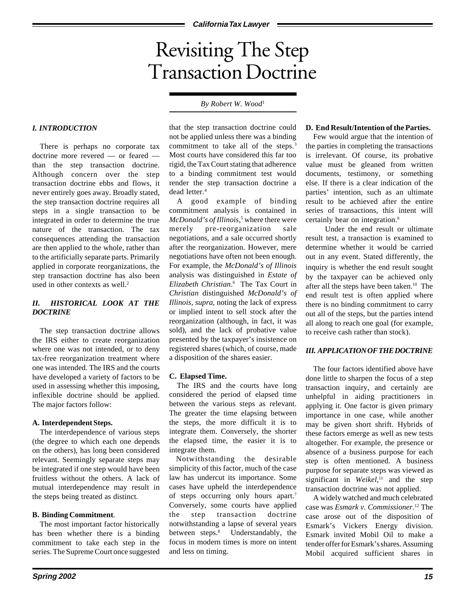# Revisiting The Step Transaction Doctrine

## *By Robert W. Wood*<sup>1</sup>

## *I. INTRODUCTION*

There is perhaps no corporate tax doctrine more revered — or feared than the step transaction doctrine. Although concern over the step transaction doctrine ebbs and flows, it never entirely goes away. Broadly stated, the step transaction doctrine requires all steps in a single transaction to be integrated in order to determine the true nature of the transaction. The tax consequences attending the transaction are then applied to the whole, rather than to the artificially separate parts. Primarily applied in corporate reorganizations, the step transaction doctrine has also been used in other contexts as well.<sup>2</sup>

# *II. HISTORICAL LOOK AT THE DOCTRINE*

The step transaction doctrine allows the IRS either to create reorganization where one was not intended, or to deny tax-free reorganization treatment where one was intended. The IRS and the courts have developed a variety of factors to be used in assessing whether this imposing, inflexible doctrine should be applied. The major factors follow:

#### **A. Interdependent Steps.**

The interdependence of various steps (the degree to which each one depends on the others), has long been considered relevant. Seemingly separate steps may be integrated if one step would have been fruitless without the others. A lack of mutual interdependence may result in the steps being treated as distinct.

#### **B. Binding Commitment**.

The most important factor historically has been whether there is a binding commitment to take each step in the series. The Supreme Court once suggested

that the step transaction doctrine could not be applied unless there was a binding commitment to take all of the steps.<sup>3</sup> Most courts have considered this far too rigid, the Tax Court stating that adherence to a binding commitment test would render the step transaction doctrine a dead letter.<sup>4</sup>

A good example of binding commitment analysis is contained in McDonald's of Illinois,<sup>5</sup> where there were merely pre-reorganization sale negotiations, and a sale occurred shortly after the reorganization. However, mere negotiations have often not been enough. For example, the *McDonald's of Illinois* analysis was distinguished in *Estate of Elizabeth Christian*. 6 The Tax Court in *Christian* distinguished *McDonald's of Illinois*, *supra*, noting the lack of express or implied intent to sell stock after the reorganization (although, in fact, it was sold), and the lack of probative value presented by the taxpayer's insistence on registered shares (which, of course, made a disposition of the shares easier.

#### **C. Elapsed Time.**

The IRS and the courts have long considered the period of elapsed time between the various steps as relevant. The greater the time elapsing between the steps, the more difficult it is to integrate them. Conversely, the shorter the elapsed time, the easier it is to integrate them.

Notwithstanding the desirable simplicity of this factor, much of the case law has undercut its importance. Some cases have upheld the interdependence of steps occurring only hours apart.7 Conversely, some courts have applied the step transaction doctrine notwithstanding a lapse of several years between steps.<sup>8</sup> Understandably, the focus in modern times is more on intent and less on timing.

#### **D. End Result/Intention of the Parties.**

Few would argue that the intention of the parties in completing the transactions is irrelevant. Of course, its probative value must be gleaned from written documents, testimony, or something else. If there is a clear indication of the parties' intention, such as an ultimate result to be achieved after the entire series of transactions, this intent will certainly bear on integration.<sup>9</sup>

Under the end result or ultimate result test, a transaction is examined to determine whether it would be carried out in any event. Stated differently, the inquiry is whether the end result sought by the taxpayer can be achieved only after all the steps have been taken.10 The end result test is often applied where there is no binding commitment to carry out all of the steps, but the parties intend all along to reach one goal (for example, to receive cash rather than stock).

#### *III. APPLICATION OF THE DOCTRINE*

The four factors identified above have done little to sharpen the focus of a step transaction inquiry, and certainly are unhelpful in aiding practitioners in applying it. One factor is given primary importance in one case, while another may be given short shrift. Hybrids of these factors emerge as well as new tests altogether. For example, the presence or absence of a business purpose for each step is often mentioned. A business purpose for separate steps was viewed as significant in *Weikel*, 11 and the step transaction doctrine was not applied.

A widely watched and much celebrated case was *Esmark v. Commissioner*. 12 The case arose out of the disposition of Esmark's Vickers Energy division. Esmark invited Mobil Oil to make a tender offer for Esmark's shares. Assuming Mobil acquired sufficient shares in